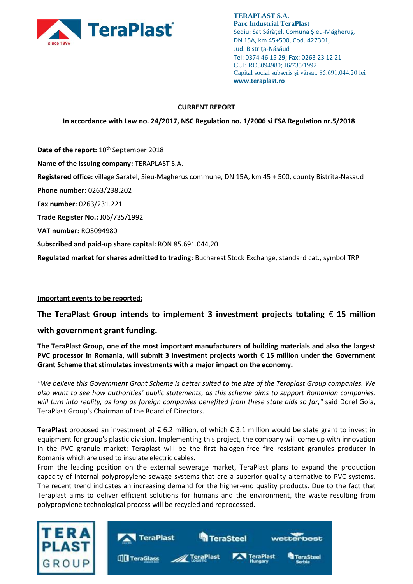

**TERAPLAST S.A. Parc Industrial TeraPlast** Sediu: Sat Sărățel, Comuna Șieu-Măgheruș, DN 15A, km 45+500, Cod. 427301, Jud. Bistriţa-Năsăud Tel: 0374 46 15 29; Fax: 0263 23 12 21 CUI: RO3094980; J6/735/1992 Capital social subscris și vărsat: 85.691.044,20 lei **www.teraplast.ro**

## **CURRENT REPORT**

**In accordance with Law no. 24/2017, NSC Regulation no. 1/2006 si FSA Regulation nr.5/2018**

Date of the report:  $10^{th}$  September 2018 **Name of the issuing company:** TERAPLAST S.A. **Registered office:** village Saratel, Sieu-Magherus commune, DN 15A, km 45 + 500, county Bistrita-Nasaud **Phone number:** 0263/238.202 **Fax number:** 0263/231.221 **Trade Register No.:** J06/735/1992 **VAT number:** RO3094980 **Subscribed and paid-up share capital:** RON 85.691.044,20 **Regulated market for shares admitted to trading:** Bucharest Stock Exchange, standard cat., symbol TRP

### **Important events to be reported:**

**The TeraPlast Group intends to implement 3 investment projects totaling** € **15 million** 

# **with government grant funding.**

**The TeraPlast Group, one of the most important manufacturers of building materials and also the largest PVC processor in Romania, will submit 3 investment projects worth** € **15 million under the Government Grant Scheme that stimulates investments with a major impact on the economy.**

*"We believe this Government Grant Scheme is better suited to the size of the Teraplast Group companies. We also want to see how authorities' public statements, as this scheme aims to support Romanian companies, will turn into reality, as long as foreign companies benefited from these state aids so far,"* said Dorel Goia, TeraPlast Group's Chairman of the Board of Directors.

**TeraPlast** proposed an investment of € 6.2 million, of which € 3.1 million would be state grant to invest in equipment for group's plastic division. Implementing this project, the company will come up with innovation in the PVC granule market: Teraplast will be the first halogen-free fire resistant granules producer in Romania which are used to insulate electric cables.

From the leading position on the external sewerage market, TeraPlast plans to expand the production capacity of internal polypropylene sewage systems that are a superior quality alternative to PVC systems. The recent trend indicates an increasing demand for the higher-end quality products. Due to the fact that Teraplast aims to deliver efficient solutions for humans and the environment, the waste resulting from polypropylene technological process will be recycled and reprocessed.